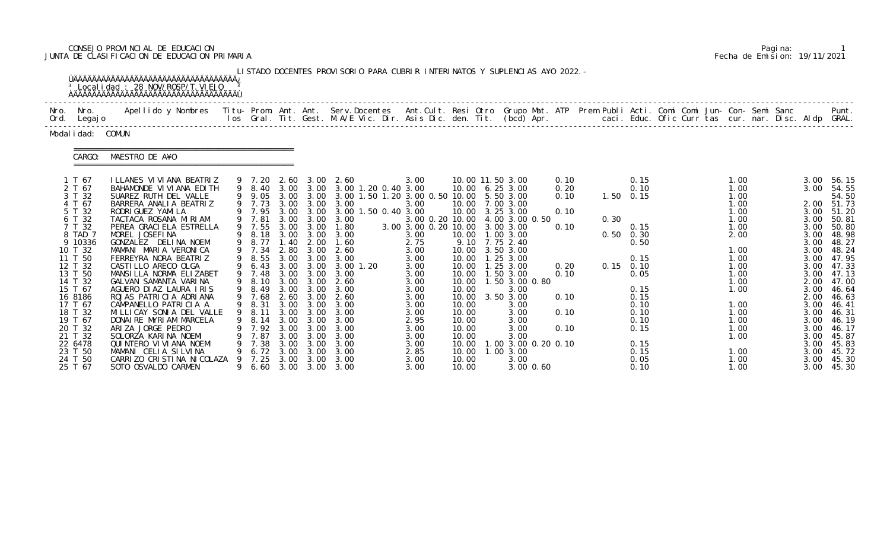# CONSEJO PROVINCIAL DE EDUCACION Pagina: 1 JUNTA DE CLASIFICACION DE EDUCACION PRIMARIA Fecha de Emision: 19/11/2021

|           |                                                                                                                                                                                                                                                    | <sup>3</sup> Local i dad: 28 NOV/ROSP/T. VI EJO                                                                                                                                                                                                                                                                                                                                                                                                                                                                                                                                                                                   |        |                                                                                                                                                                                                                                            |                                                                                              |                                                                                                                                | LISTADO DOCENTES PROVISORIO PARA CUBRIR INTERINATOS Y SUPLENCIAS A¥O 2022. -                                                                                                                                                                                                                                                                                 |                                                                                                                                                                                        |                                                                                                                   |                                                                                                                                                                                                                                                                                                                                                 |                                                                              |                                                        |                                                                                                                      |  |                                                                                                                                                                      |  |                                                                                                                                                                              |                                                                                                                                                                                                                           |
|-----------|----------------------------------------------------------------------------------------------------------------------------------------------------------------------------------------------------------------------------------------------------|-----------------------------------------------------------------------------------------------------------------------------------------------------------------------------------------------------------------------------------------------------------------------------------------------------------------------------------------------------------------------------------------------------------------------------------------------------------------------------------------------------------------------------------------------------------------------------------------------------------------------------------|--------|--------------------------------------------------------------------------------------------------------------------------------------------------------------------------------------------------------------------------------------------|----------------------------------------------------------------------------------------------|--------------------------------------------------------------------------------------------------------------------------------|--------------------------------------------------------------------------------------------------------------------------------------------------------------------------------------------------------------------------------------------------------------------------------------------------------------------------------------------------------------|----------------------------------------------------------------------------------------------------------------------------------------------------------------------------------------|-------------------------------------------------------------------------------------------------------------------|-------------------------------------------------------------------------------------------------------------------------------------------------------------------------------------------------------------------------------------------------------------------------------------------------------------------------------------------------|------------------------------------------------------------------------------|--------------------------------------------------------|----------------------------------------------------------------------------------------------------------------------|--|----------------------------------------------------------------------------------------------------------------------------------------------------------------------|--|------------------------------------------------------------------------------------------------------------------------------------------------------------------------------|---------------------------------------------------------------------------------------------------------------------------------------------------------------------------------------------------------------------------|
| Nro. Nro. | Ord. Legajo                                                                                                                                                                                                                                        | Apellido y Nombres - Titu- Prom. Ant. Ant. Serv.Docentes - Ant.Cult. Resi Otro Grupo Mat. ATP Prem Publi Acti. Comi Comi Jun- Con- Semi Sanc - - - Punt.<br>Ios Gral. Tit. Gest. M.A/E Vic. Dir. Asis Dic. den. Tit. (bcd) Apr. -                                                                                                                                                                                                                                                                                                                                                                                                 |        |                                                                                                                                                                                                                                            |                                                                                              |                                                                                                                                |                                                                                                                                                                                                                                                                                                                                                              |                                                                                                                                                                                        |                                                                                                                   |                                                                                                                                                                                                                                                                                                                                                 |                                                                              |                                                        |                                                                                                                      |  |                                                                                                                                                                      |  |                                                                                                                                                                              |                                                                                                                                                                                                                           |
|           | Modal i dad: COMUN                                                                                                                                                                                                                                 |                                                                                                                                                                                                                                                                                                                                                                                                                                                                                                                                                                                                                                   |        |                                                                                                                                                                                                                                            |                                                                                              |                                                                                                                                |                                                                                                                                                                                                                                                                                                                                                              |                                                                                                                                                                                        |                                                                                                                   |                                                                                                                                                                                                                                                                                                                                                 |                                                                              |                                                        |                                                                                                                      |  |                                                                                                                                                                      |  |                                                                                                                                                                              |                                                                                                                                                                                                                           |
|           | CARGO:                                                                                                                                                                                                                                             | MAESTRO DE A¥O                                                                                                                                                                                                                                                                                                                                                                                                                                                                                                                                                                                                                    |        |                                                                                                                                                                                                                                            |                                                                                              |                                                                                                                                |                                                                                                                                                                                                                                                                                                                                                              |                                                                                                                                                                                        |                                                                                                                   |                                                                                                                                                                                                                                                                                                                                                 |                                                                              |                                                        |                                                                                                                      |  |                                                                                                                                                                      |  |                                                                                                                                                                              |                                                                                                                                                                                                                           |
| 15 T 67   | 1 T 67<br>2 T 67<br>3 T 32<br>4 T 67<br>5 T 32<br>6 T 32<br>7 T 32<br>8 TAD 7<br>9 10336<br>10 T 32<br>11 T 50<br>12 T 32<br>13 T 50<br>14 T 32<br>16 8186<br>17 T 67<br>18 T 32<br>19 T 67<br>20 T 32<br>21 T 32<br>22 6478<br>23 T 50<br>24 T 50 | I LLANES VI VI ANA BEATRIZ<br>BAHAMONDE VI VI ANA EDI TH<br>SUAREZ RUTH DEL VALLE<br>BARRERA ANALIA BEATRIZ<br>RODRI GUEZ YAMI LA<br>TACTACA ROSANA MIRIAM<br>PEREA GRACI ELA ESTRELLA<br>MOREL JOSEFINA<br>GONZALEZ DELINA NOEM<br>MAMANI MARIA VERONICA<br>FERREYRA NORA BEATRIZ<br>CASTILLO ARECO OLGA<br>MANSILLA NORMA ELIZABET<br>GALVAN SAMANTA VARINA<br>AGUERO DIAZ LAURA IRIS<br>ROJAS PATRICIA ADRIANA<br>CAMPANELLO PATRICIA A<br>MI LLI CAY SONI A DEL VALLE<br>DONAIRE MYRIAM MARCELA<br>ARIZA JORGE PEDRO<br>SOLORZA KARINA NOEMI<br>QUINTERO VI VI ANA NOEMI<br>MAMANI CELIA SILVINA<br>CARRIZO CRISTINA NICOLAZA | 9<br>9 | 9 7.20<br>9 8.40<br>9 7.73<br>9 7.95 3.00 3.00<br>9 7.81<br>9 7.55<br>9 8.18<br>9 8.77<br>9 7.34<br>9 8.55<br>9 6.43<br>9 7.48<br>9 8.10<br>9 8.49<br>9 7.68<br>9 8.31<br>9 8.11 3.00 3.00<br>8.14<br>7.92<br>7.87<br>7.38<br>6.72<br>7.25 | 1.40<br>3.00<br>3.00<br>3.00<br>3.00<br>3.00<br>3.00<br>3.00<br>3.00<br>3.00<br>3.00<br>3.00 | 3.00 3.00<br>2.00<br>3.00<br>3.00<br>$3.00 \quad 3.00$<br>3.00<br>3.00<br>3.00<br>3.00<br>3.00<br>3.00<br>3.00<br>3.00<br>3.00 | 2.60 3.00 2.60<br>3.00 3.00 3.00 1.20 0.40 3.00<br>9 9.05 3.00 3.00 3.00 1.50 1.20 3.00 0.50 10.00 5.50 3.00<br>3.00 3.00 3.00<br>3.00 1.50 0.40 3.00<br>3.00 3.00 3.00<br>3.00 3.00 1.80<br>3.00<br>1.60<br>2.80 3.00 2.60<br>3.00<br>$3.00$ 1.20<br>3.00<br>2.60<br>3.00<br>2.60 3.00 2.60<br>3.00<br>3.00<br>3.00<br>3.00<br>3.00<br>3.00<br>3.00<br>3.00 | 3.00<br>3.00<br>3.00 3.00 0.20 10.00 3.00 3.00<br>3.00<br>2.75<br>3.00<br>3.00<br>3.00<br>3.00<br>3.00<br>3.00<br>3.00<br>3.00<br>3.00<br>2.95<br>3.00<br>3.00<br>3.00<br>2.85<br>3.00 | 10.00<br>10.00<br>10.00<br>10.00<br>10.00<br>10.00<br>10.00<br>10.00<br>10.00<br>10.00<br>10.00<br>10.00<br>10.00 | 10.00 11.50 3.00<br>10.00 6.25 3.00<br>10.00 7.00 3.00<br>10.00 3.25 3.00<br>3.00 0.20 10.00 4.00 3.00 0.50<br>1.00 3.00<br>9.10 7.75 2.40<br>10.00 3.50 3.00<br>1.25 3.00<br>10.00  1.25  3.00<br>10.00  1.50  3.00<br>1.50 3.00 0.80<br>3.00<br>3.50 3.00<br>3.00<br>3.00<br>3.00<br>3.00<br>3.00<br>$.00$ 3.00 0.20 0.10<br>1.003.00<br>3.00 | 0.10<br>0.20<br>0.10<br>0.10<br>0.10<br>0.20<br>0.10<br>0.10<br>0.10<br>0.10 | $1.50 \t 0.15$<br>0.30<br>$0.50$ $0.30$<br>$0.15$ 0.10 | 0.15<br>0.10<br>0.15<br>0.50<br>0.15<br>0.05<br>0.15<br>0.15<br>0.10<br>0.10<br>0.10<br>0.15<br>0.15<br>0.15<br>0.05 |  | 1.00<br>1.00<br>1.00<br>1.00<br>1.00<br>1.00<br>1.00<br>2.00<br>1.00<br>1.00<br>1.00<br>1.00<br>1.00<br>1.00<br>1.00<br>1.00<br>1.00<br>1.00<br>1.00<br>1.00<br>1.00 |  | 3.00<br>3.00<br>3.00<br>3.00<br>3.00<br>3.00<br>3.00<br>3.00<br>3.00<br>3.00<br>3.00<br>2.00<br>3.00<br>2.00<br>3.00<br>3.00<br>3.00<br>3.00<br>3.00<br>3.00<br>3.00<br>3.00 | 56.15<br>54.55<br>54.50<br>2.00 51.73<br>51.20<br>50.81<br>50.80<br>48.98<br>48.27<br>48.24<br>47.95<br>47.33<br>47.13<br>47.00<br>46.64<br>46.63<br>46.41<br>46.31<br>46.19<br>46.17<br>45.87<br>45.83<br>45.72<br>45.30 |

|  | Pagi na: |                              |
|--|----------|------------------------------|
|  |          | Fecha de Emision: 19/11/2021 |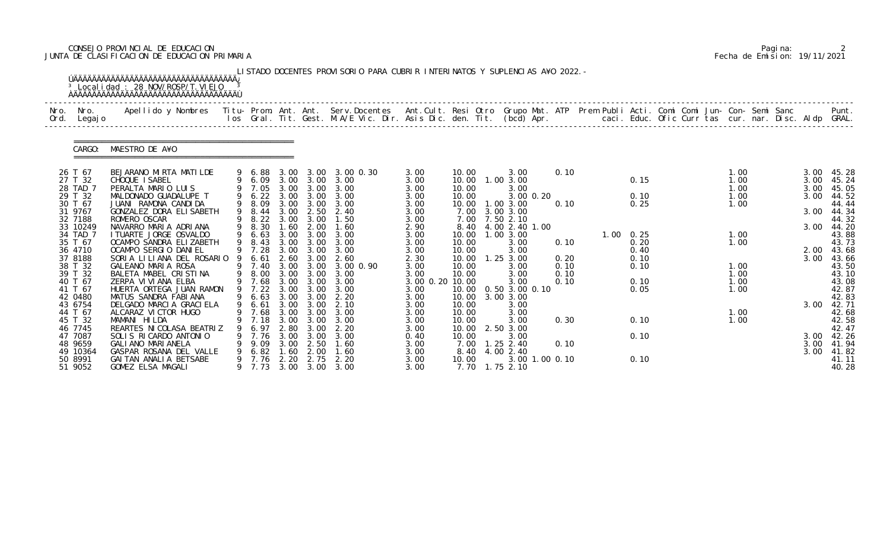# CONSEJO PROVINCIAL DE EDUCACION Pagina: 2 JUNTA DE CLASIFICACION DE EDUCACION PRIMARIA Fecha de Emision: 19/11/2021

| Nro.<br>Ord. | Nro.<br>Legaj o    | Apellido y Nombres - Titu- Prom. Ant. Ant. Serv.Docentes - Ant.Cult. Resi Otro Grupo Mat. ATP Prem Publi Acti. Comi Comi Jun- Con- Semi Sanc - - - Punt.<br>Ios Gral. Tit. Gest. M.A/E Vic. Dir. Asis Dic. den. Tit. (bcd) Apr. - |   |                  |              |                   |                               |              |                |                                  |      |                |              |  |              |  |              |                |
|--------------|--------------------|-----------------------------------------------------------------------------------------------------------------------------------------------------------------------------------------------------------------------------------|---|------------------|--------------|-------------------|-------------------------------|--------------|----------------|----------------------------------|------|----------------|--------------|--|--------------|--|--------------|----------------|
|              |                    |                                                                                                                                                                                                                                   |   |                  |              |                   |                               |              |                |                                  |      |                |              |  |              |  |              |                |
|              | CARGO:             | MAESTRO DE A¥O                                                                                                                                                                                                                    |   |                  |              |                   |                               |              |                |                                  |      |                |              |  |              |  |              |                |
|              | 26 T 67            | BEJARANO MIRTA MATILDE                                                                                                                                                                                                            |   | 9 6.88           |              |                   | 3.00 3.00 3.00 0.30           | 3.00         | 10.00          | 3.00                             | 0.10 |                |              |  | 1.00         |  |              | $3.00$ 45.28   |
|              | 27 T 32            | CHOQUE ISABEL                                                                                                                                                                                                                     |   | 9 6.09           |              | 3.00 3.00         | 3.00                          | 3.00         | 10.00          | 1.00 3.00                        |      |                | 0.15         |  | 1.00         |  | 3.00         | 45.24          |
|              | 28 TAD 7           | PERALTA MARIO LUIS                                                                                                                                                                                                                |   | 9 7.05           | 3.00         | 3.00              | 3.00                          | 3.00         | 10.00          | 3.00                             |      |                |              |  | 1.00         |  | 3.00         | 45.05          |
|              | 29 T 32<br>30 T 67 | MALDONADO GUADALUPE T<br>JUANI RAMONA CANDIDA                                                                                                                                                                                     |   | 9 6.22<br>9 8.09 | 3.00         | 3.00<br>3.00 3.00 | 3.00<br>3.00                  | 3.00<br>3.00 | 10.00<br>10.00 | 3.00 0.20<br>1.00 3.00           | 0.10 |                | 0.10<br>0.25 |  | 1.00<br>1.00 |  | 3.00         | 44.52<br>44.44 |
|              | 31 9767            | GONZALEZ DORA ELISABETH                                                                                                                                                                                                           | 9 | 8.44             | 3.00         | 2.50              | 2.40                          | 3.00         | 7.00           | 3.00 3.00                        |      |                |              |  |              |  | 3.00         | 44.34          |
|              | 32 7188            | ROMERO OSCAR                                                                                                                                                                                                                      |   | 8.22 3.00        |              | 3.00              | 1.50                          | 3.00         | 7.00           | 7.50 2.10                        |      |                |              |  |              |  |              | 44.32          |
|              | 33 10249           | NAVARRO MARIA ADRIANA                                                                                                                                                                                                             | 9 | 8.30             | 1.60         | 2.00              | 1.60                          | 2.90         |                | 8.40 4.00 2.40 1.00              |      |                |              |  |              |  | 3.00         | 44.20          |
|              | 34 TAD 7           | I TUARTE JORGE OSVALDO                                                                                                                                                                                                            | 9 | 6.63             | 3.00         | 3.00              | 3.00                          | 3.00         | 10.00          | 1.00 3.00                        |      | $1.00 \t 0.25$ |              |  | 1.00         |  |              | 43.88          |
|              | 35 T 67            | OCAMPO SANDRA ELIZABETH                                                                                                                                                                                                           |   | 9 8.43           | 3.00<br>3.00 | 3.00              | 3.00                          | 3.00         | 10.00          | 3.00                             | 0.10 |                | 0.20         |  | 1.00         |  |              | 43.73          |
|              | 36 4710<br>37 8188 | OCAMPO SERGIO DANIEL<br>SORIA LILIANA DEL ROSARIO                                                                                                                                                                                 |   | 9 7.28<br>6.61   | 2.60         | 3.00<br>3.00      | 3.00<br>2.60                  | 3.00<br>2.30 | 10.00<br>10.00 | 3.00<br>$1.25$ $3.00$            | 0.20 |                | 0.40<br>0.10 |  |              |  | 2.00<br>3.00 | 43.68<br>43.66 |
|              | 38 T 32            | GALEANO MARIA ROSA                                                                                                                                                                                                                |   | 9 7.40           | 3.00         | 3.00              | 3.00 0.90                     | 3.00         | 10.00          | 3.00                             | 0.10 |                | 0.10         |  | 1.00         |  |              | 43.50          |
|              | 39 T 32            | BALETA MABEL CRISTINA                                                                                                                                                                                                             | 9 | 8.00             |              | $3.00 \quad 3.00$ | 3.00                          | 3.00         | 10.00          | 3.00                             | 0.10 |                |              |  | 1.00         |  |              | 43.10          |
|              | 40 T 67            | ZERPA VI VI ANA ELBA                                                                                                                                                                                                              |   | 9 7.68           | 3.00         | 3.00              | 3.00                          | 3.00 0.20    | 10.00          | 3.00                             | 0.10 |                | 0.10         |  | 1.00         |  |              | 43.08          |
|              | 41 T 67            | HUERTA ORTEGA JUAN RAMON                                                                                                                                                                                                          |   | 9 7.22           | 3.00         | 3.00              | 3.00                          | 3.00         | 10.00          | 0.50 3.00 0.10                   |      |                | 0.05         |  | 1.00         |  |              | 42.87          |
|              | 42 0480            | MATUS SANDRA FABIANA                                                                                                                                                                                                              | 9 | 6.63             |              | 3.00 3.00         | 2.20                          | 3.00         | 10.00          | 3.00 3.00                        |      |                |              |  |              |  |              | 42.83          |
|              | 43 6754<br>44 T 67 | DELGADO MARCIA GRACIELA<br>ALCARAZ VI CTOR HUGO                                                                                                                                                                                   |   | 9 6.61<br>9 7.68 | 3.00         | 3.00              | 2.10<br>3.00 3.00 3.00        | 3.00<br>3.00 | 10.00<br>10.00 | 3.00<br>3.00                     |      |                |              |  | 1.00         |  | 3.00         | 42.71<br>42.68 |
|              | 45 T 32            | MAMANI HILDA                                                                                                                                                                                                                      |   | 7.18             | 3.00         | 3.00              | 3.00                          | 3.00         | 10.00          | 3.00                             | 0.30 |                | 0.10         |  | 1.00         |  |              | 42.58          |
|              | 46 7745            | REARTES NI COLASA BEATRIZ                                                                                                                                                                                                         |   | 6. 97            | 2.80         | 3.00              | 2.20                          | 3.00         | 10.00          | 2.50 3.00                        |      |                |              |  |              |  |              | 42.47          |
|              | 47 7087            | SOLIS RICARDO ANTONIO                                                                                                                                                                                                             |   | 9 7.76           | 3.00         | 3.00              | 3.00                          | 0.40         | 10.00          | 3.00                             |      |                | 0.10         |  |              |  |              | 3.00 42.26     |
|              | 48 9659            | GALI ANO MARI ANELA                                                                                                                                                                                                               |   | 9.09             | 3.00         | 2.50              | 1.60                          | 3.00         | 7.00           | $1.25$ $2.40$                    | 0.10 |                |              |  |              |  |              | 3.00 41.94     |
|              | 49 10364           | GASPAR ROSANA DEL VALLE                                                                                                                                                                                                           |   | 6.82             | .60          | 2.00              | 1.60                          | 3.00         |                | 8.40 4.00 2.40                   |      |                |              |  |              |  | 3.00         | 41.82          |
|              | 50 8991<br>51 9052 | GAI TAN ANALI A BETSABE<br>GOMEZ ELSA MAGALI                                                                                                                                                                                      |   | 9 7.76           | 2.20         | 2.75              | 2.20<br>9 7.73 3.00 3.00 3.00 | 3.00<br>3.00 | 10.00          | 3.00 1.00 0.10<br>7.70 1.75 2.10 |      |                | 0.10         |  |              |  |              | 41.11<br>40.28 |

|  | Pagi na: |                              |
|--|----------|------------------------------|
|  |          | Fecha de Emision: 19/11/2021 |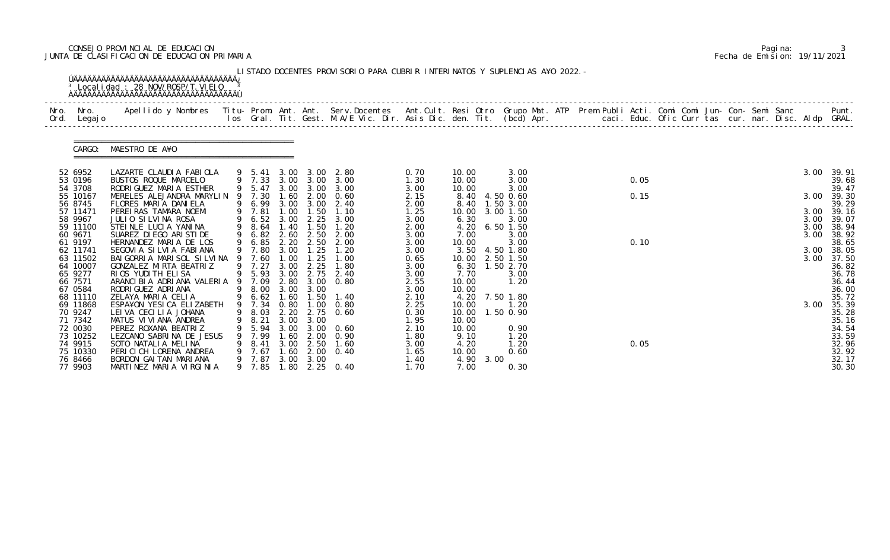# CONSEJO PROVINCIAL DE EDUCACION Pagina: 3 JUNTA DE CLASIFICACION DE EDUCACION PRIMARIA Fecha de Emision: 19/11/2021

| Nro. | Nro. In the Nro.<br>Ord. Legajo                        | Apellido y Nombres - Titu- Prom. Ant. Ant. Serv.Docentes - Ant.Cult. Resi Otro Grupo Mat. ATP Prem Publi Acti. Comi Comi Jun- Con- Semi Sanc - - - Punt.<br>Ios Gral. Tit. Gest. M.A/E Vic. Dir. Asis Dic. den. Tit. (bcd) Apr. - |   |                                              |                                      |                                      |                                                                         |                                       |                                              |      |                                                               |  |      |  |  |  |              |                                           |
|------|--------------------------------------------------------|-----------------------------------------------------------------------------------------------------------------------------------------------------------------------------------------------------------------------------------|---|----------------------------------------------|--------------------------------------|--------------------------------------|-------------------------------------------------------------------------|---------------------------------------|----------------------------------------------|------|---------------------------------------------------------------|--|------|--|--|--|--------------|-------------------------------------------|
|      |                                                        | CARGO: MAESTRO DE A¥O                                                                                                                                                                                                             |   |                                              |                                      |                                      |                                                                         |                                       |                                              |      |                                                               |  |      |  |  |  |              |                                           |
|      | 52 6952<br>53 0196<br>54 3708                          | LAZARTE CLAUDIA FABIOLA<br>BUSTOS ROQUE MARCELO<br>RODRI GUEZ MARI A ESTHER                                                                                                                                                       |   |                                              |                                      |                                      | 9 5.41 3.00 3.00 2.80<br>9 7.33 3.00 3.00 3.00<br>9 5.47 3.00 3.00 3.00 | 0.70<br>1.30<br>3.00                  | 10.00<br>10.00<br>10.00                      |      | 3.00<br>3.00<br>3.00                                          |  | 0.05 |  |  |  | 3.00         | 39.91<br>39.68<br>39.47                   |
|      | 55 10167<br>56 8745                                    | MERELES ALEJANDRA MARYLIN<br>FLORES MARIA DANIELA                                                                                                                                                                                 |   | 9 7.30<br>9 6.99                             |                                      |                                      | 1.60 2.00 0.60<br>3.00 3.00 2.40                                        | 2.15<br>2.00                          | 8.40<br>8.40                                 |      | 4.50 0.60<br>1.50 3.00                                        |  | 0.15 |  |  |  | 3.00         | 39.30<br>39.29                            |
|      | 57 11471<br>58 9967                                    | PEREIRAS TAMARA NOEMI<br>JULIO SILVINA ROSA                                                                                                                                                                                       |   | 9 7.81<br>9 6.52 3.00                        | 1.00                                 | 1.50                                 | 1.10<br>2.25 3.00                                                       | 1.25<br>3.00                          | 10.00<br>6.30                                |      | 3.00 1.50<br>3.00                                             |  |      |  |  |  | 3.00<br>3.00 | 39.16<br>39.07                            |
|      | 59 11100<br>60 9671<br>61 9197                         | STEINLE LUCIA YANINA<br>SUAREZ DI EGO ARI STI DE<br>HERNANDEZ MARIA DE LOS                                                                                                                                                        |   | 9 8.64<br>9 6.82                             | 1.40<br>2.60                         | 1.50<br>2.50                         | 1.20<br>2.00<br>9 6.85 2.20 2.50 2.00                                   | 2.00<br>3.00<br>3.00                  | 4.20<br>7.00<br>10.00                        |      | 6.501.50<br>3.00<br>3.00                                      |  | 0.10 |  |  |  | 3.00<br>3.00 | 38.94<br>38.92<br>38.65                   |
|      | 62 11741<br>63 11502<br>64 10007<br>65 9277<br>66 7571 | SEGOVIA SILVIA FABIANA<br>BAI GORRI A MARI SOL SI LVI NA 9<br>GONZALEZ MIRTA BEATRIZ<br>RIOS YUDITH ELISA<br>ARANCI BI A ADRI ANA VALERI A                                                                                        |   | 9 7.80<br>7.60<br>9 7.27<br>9 5.93<br>9 7.09 | 3.00<br>1.00<br>3.00<br>3.00<br>2.80 | 1.25<br>1.25<br>2.25<br>2.75<br>3.00 | 1.20<br>1.00<br>1.80<br>2.40<br>0.80                                    | 3.00<br>0.65<br>3.00<br>3.00<br>2.55  | 10.00<br>7.70<br>10.00                       |      | 3.50 4.50 1.80<br>2.50 1.50<br>6.30 1.50 2.70<br>3.00<br>1.20 |  |      |  |  |  | 3.00<br>3.00 | 38.05<br>37.50<br>36.82<br>36.78<br>36.44 |
|      | 67 0584<br>68 11110<br>69 11868<br>70 9247<br>71 7342  | RODRI GUEZ ADRI ANA<br>ZELAYA MARIA CELIA<br>ESPA¥ON YESICA ELIZABETH<br>LEI VA CECILIA JOHANA<br>MATUS VI VI ANA ANDREA                                                                                                          | 9 | 9 8.00 3.00 3.00<br>9 7.34 0.80<br>8.21      | 3.00                                 | 3.00                                 | 9 6.62 1.60 1.50 1.40<br>$1.00 \t 0.80$<br>9 8.03 2.20 2.75 0.60        | 3.00<br>2.10<br>2.25<br>0.30<br>1.95  | 10.00<br>10.00<br>10.00  1.50  0.90<br>10.00 |      | 4.20 7.50 1.80<br>1.20                                        |  |      |  |  |  | 3.00         | 36.00<br>35.72<br>35.39<br>35.28<br>35.16 |
|      | 72 0030<br>73 10252<br>74 9915<br>75 10330<br>76 8466  | PEREZ ROXANA BEATRIZ<br>LEZCANO SABRINA DE JESUS<br>SOTO NATALIA MELINA<br>PERICICH LORENA ANDREA<br>BORDON GAI TAN MARI ANA                                                                                                      |   | 5.94<br>9 7.99<br>8.41<br>7.67<br>9 7.87     | 3.00<br>1.60<br>3.00<br>1.60<br>3.00 | 2.00<br>2.50<br>2.00<br>3.00         | $3.00 \quad 0.60$<br>0.90<br>1.60<br>0.40                               | 2.10<br>1.80<br>3.00<br>1. 65<br>1.40 | 10.00<br>9.10<br>4.20<br>10.00<br>4.90       | 3.00 | 0.90<br>1.20<br>1.20<br>0.60                                  |  | 0.05 |  |  |  |              | 34.54<br>33.59<br>32.96<br>32.92<br>32.17 |

|  | Pagi na: |                              |
|--|----------|------------------------------|
|  |          | Fecha de Emision: 19/11/2021 |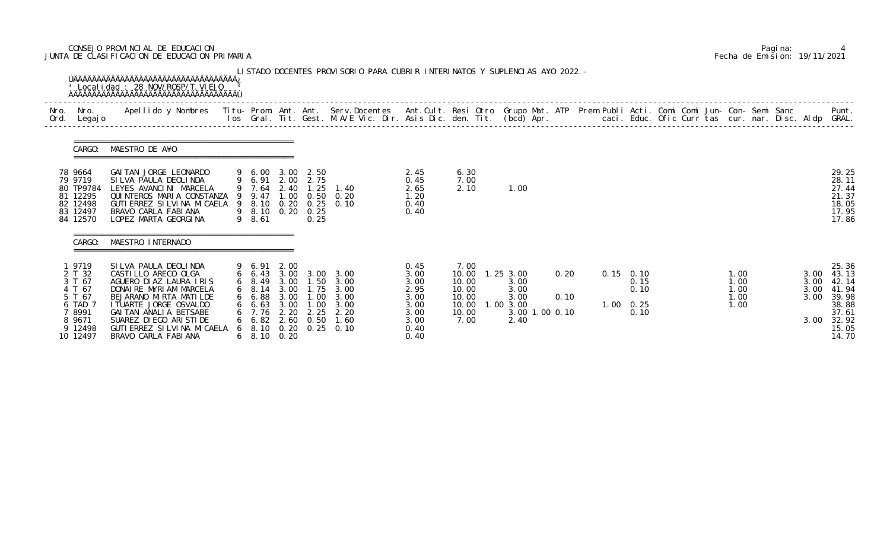# CONSEJO PROVINCIAL DE EDUCACION Pagina: 4 JUNTA DE CLASIFICACION DE EDUCACION PRIMARIA Fecha de Emision: 19/11/2021

|              |                                                                                                    | <sup>3</sup> Local i dad: 28 NOV/ROSP/T. VI EJO                                                                                                                                                                                                                      |        |                                                                                                            |                              |                                                        | LISTADO DOCENTES PROVISORIO PARA CUBRIR INTERINATOS Y SUPLENCIAS A¥O 2022. -                  |                                                                              |                                                                    |                                                                            |              |  |                                                          |                                                      |                                      |                                      |                                                                                        |
|--------------|----------------------------------------------------------------------------------------------------|----------------------------------------------------------------------------------------------------------------------------------------------------------------------------------------------------------------------------------------------------------------------|--------|------------------------------------------------------------------------------------------------------------|------------------------------|--------------------------------------------------------|-----------------------------------------------------------------------------------------------|------------------------------------------------------------------------------|--------------------------------------------------------------------|----------------------------------------------------------------------------|--------------|--|----------------------------------------------------------|------------------------------------------------------|--------------------------------------|--------------------------------------|----------------------------------------------------------------------------------------|
| Nro.<br>Ord. | Nro.<br>Legaj o                                                                                    | Apellido y Nombres - Titu- Prom. Ant. Ant. Serv.Docentes - Ant.Cult. Resi Otro Grupo Mat. ATP - Prem Publi Acti. Comi Comi Jun- Con- Semi Sanc - Semi Sanc - Semi Sanc - Ios Gral. Tit. Gest. M.A/E Vic. Dir. Asis Dic. den. T                                       |        |                                                                                                            |                              |                                                        |                                                                                               |                                                                              |                                                                    |                                                                            |              |  |                                                          | caci. Educ. Ofic Curr tas cur. nar. Disc. Aldp GRAL. |                                      |                                      | Punt.                                                                                  |
|              | CARGO:                                                                                             | MAESTRO DE A¥O                                                                                                                                                                                                                                                       |        |                                                                                                            |                              |                                                        |                                                                                               |                                                                              |                                                                    |                                                                            |              |  |                                                          |                                                      |                                      |                                      |                                                                                        |
|              | 78 9664<br>79 9719<br>80 TP9784<br>81 12295<br>82 12498<br>83 12497<br>84 12570                    | GAI TAN JORGE LEONARDO<br>SI LVA PAULA DEOLINDA<br>LEYES AVANCINI MARCELA<br>QUINTEROS MARIA CONSTANZA<br>GUTI ERREZ SI LVI NA MI CAELA<br>BRAVO CARLA FABIANA<br>LOPEZ MARTA GEORGINA                                                                               | 9<br>9 | 9 6.00<br>9 6.91 2.00 2.75<br>9 7.64 2.40 1.25<br>9.47<br>8.10<br>9 8.10 0.20<br>9 8.61                    | 3.00<br>1.00<br>0.20         | 2.50<br>1.25<br>0.50<br>0.25<br>0.25                   | 1.40<br>0.20<br>$0.25$ 0.10                                                                   | 2.45<br>0.45<br>2.65<br>1.20<br>0.40<br>0.40                                 | 6.30<br>7.00<br>2.10                                               | 1.00                                                                       |              |  |                                                          |                                                      |                                      |                                      | 29.25<br>28.11<br>27.44<br>21.37<br>18.05<br>17.95<br>17.86                            |
|              | CARGO:                                                                                             | MAESTRO INTERNADO                                                                                                                                                                                                                                                    |        |                                                                                                            |                              |                                                        |                                                                                               |                                                                              |                                                                    |                                                                            |              |  |                                                          |                                                      |                                      |                                      |                                                                                        |
|              | 9719<br>2 T 32<br>3 T 67<br>4 T 67<br>5 T 67<br>6 TAD 7<br>7 8991<br>8 9671<br>9 12498<br>10 12497 | SILVA PAULA DEOLINDA<br>CASTI LLO ARECO OLGA<br>AGUERO DI AZ LAURA I RIS<br>DONAIRE MYRIAM MARCELA<br>BEJARANO MIRTA MATILDE<br>I TUARTE JORGE OSVALDO<br>GAI TAN ANALIA BETSABE<br>SUAREZ DI EGO ARI STI DE<br>GUTI ERREZ SI LVI NA MI CAELA<br>BRAVO CARLA FABIANA | 6      | 9 6.91 2.00<br>$6\quad 8.49$<br>68.14<br>6 6.88<br>66.63<br>6 7.76<br>$6\quad 6.82$<br>8.10<br>6 8.10 0.20 | 3.00<br>3.00<br>2.20<br>2.60 | 3.00 1.50<br>3.00 1.75<br>1.00<br>1.00<br>2.25<br>0.50 | 6 6.43 3.00 3.00 3.00<br>3.00<br>3.00<br>3.00<br>3.00<br>2.20<br>1.60<br>$0.20$ $0.25$ $0.10$ | 0.45<br>3.00<br>3.00<br>2.95<br>3.00<br>3.00<br>3.00<br>3.00<br>0.40<br>0.40 | 7.00<br>10.00<br>10.00<br>10.00<br>10.00<br>10.00<br>10.00<br>7.00 | $1.25$ 3.00<br>3.00<br>3.00<br>3.00<br>1.00 3.00<br>3.00 1.00 0.10<br>2.40 | 0.20<br>0.10 |  | $0.15$ 0.10<br>0.15<br>0.10<br>$1.00 \quad 0.25$<br>0.10 |                                                      | 1.00<br>1.00<br>1.00<br>1.00<br>1.00 | 3.00<br>3.00<br>3.00<br>3.00<br>3.00 | 25.36<br>43.13<br>42.14<br>41.94<br>39.98<br>38.88<br>37.61<br>32.92<br>15.05<br>14.70 |

|  | Pagi na: |                              |
|--|----------|------------------------------|
|  |          | Fecha de Emision: 19/11/2021 |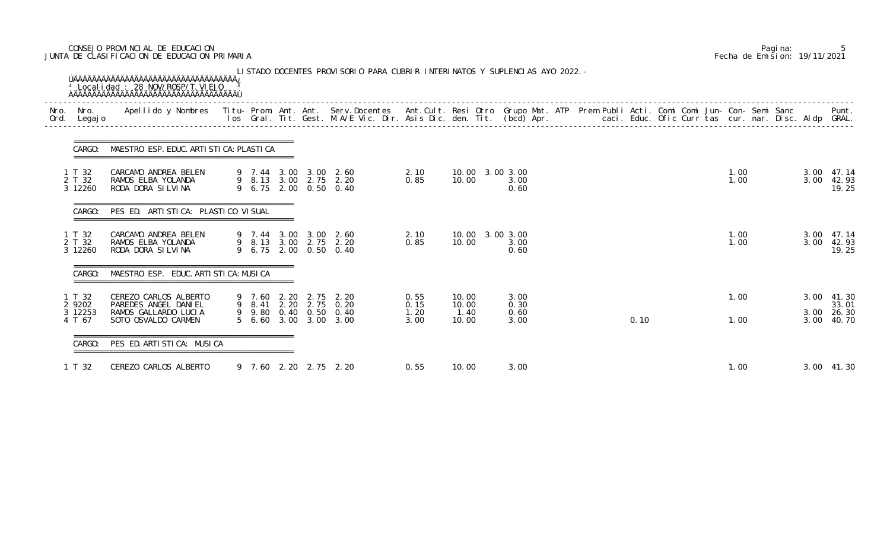# CONSEJO PROVINCIAL DE EDUCACION Pagina: 5 JUNTA DE CLASIFICACION DE EDUCACION PRIMARIA Fecha de Emision: 19/11/2021

|                             | CARGO: MAESTRO ESP. EDUC. ARTI STI CA: PLASTI CA                      |  |  |                                                                         |                      |                          |                      |  |      |  |              |  |              |                              |
|-----------------------------|-----------------------------------------------------------------------|--|--|-------------------------------------------------------------------------|----------------------|--------------------------|----------------------|--|------|--|--------------|--|--------------|------------------------------|
| 1 T 32<br>2 T 32<br>3 12260 | CARCAMO ANDREA BELEN<br>RAMOS ELBA YOLANDA<br>RODA DORA SILVINA       |  |  | 9 7.44 3.00 3.00 2.60<br>9 8.13 3.00 2.75 2.20<br>9 6.75 2.00 0.50 0.40 | 2.10<br>0.85         | 10.00 3.00 3.00<br>10.00 | 3.00<br>0.60         |  |      |  | 1.00<br>1.00 |  | 3.00<br>3.00 | 47.14<br>42.93<br>19.25      |
| CARGO:                      | PES ED. ARTISTICA: PLASTICO VISUAL                                    |  |  |                                                                         |                      |                          |                      |  |      |  |              |  |              |                              |
| 1 T 32<br>2 T 32<br>3 12260 | CARCAMO ANDREA BELEN<br>RAMOS ELBA YOLANDA<br>RODA DORA SILVINA       |  |  | 9 7.44 3.00 3.00 2.60<br>9 8.13 3.00 2.75 2.20<br>9 6.75 2.00 0.50 0.40 | 2.10<br>0.85         | 10.00 3.00 3.00<br>10.00 | 3.00<br>0.60         |  |      |  | 1.00<br>1.00 |  | 3.00         | 3.00 47.14<br>42.93<br>19.25 |
| CARGO:                      | MAESTRO ESP. EDUC. ARTI STI CA: MUSI CA                               |  |  |                                                                         |                      |                          |                      |  |      |  |              |  |              |                              |
| 1 T 32<br>2 9202<br>3 12253 | CEREZO CARLOS ALBERTO<br>PAREDES ANGEL DANIEL<br>RAMOS GALLARDO LUCIA |  |  | 9 7.60 2.20 2.75 2.20<br>9 8.41 2.20 2.75 0.20<br>9 9.80 0.40 0.50 0.40 | 0.55<br>0.15<br>1.20 | 10.00<br>10.00<br>1.40   | 3.00<br>0.30<br>0.60 |  |      |  | 1.00         |  | 3.00         | 41.30<br>33.01<br>3.00 26.30 |
| 4 T 67<br>CARGO:            | SOTO OSVALDO CARMEN<br>PES ED. ARTI STI CA: MUSI CA                   |  |  | 5 6.60 3.00 3.00 3.00                                                   | 3.00                 | 10.00                    | 3.00                 |  | 0.10 |  | 1.00         |  |              | 3.00 40.70                   |
| 1 T 32                      | CEREZO CARLOS ALBERTO                                                 |  |  | 9 7.60 2.20 2.75 2.20                                                   | 0.55                 | 10.00                    | 3.00                 |  |      |  | 1.00         |  |              | 3.00 41.30                   |

|  | Pagi na: |                              |
|--|----------|------------------------------|
|  |          | Fecha de Emision: 19/11/2021 |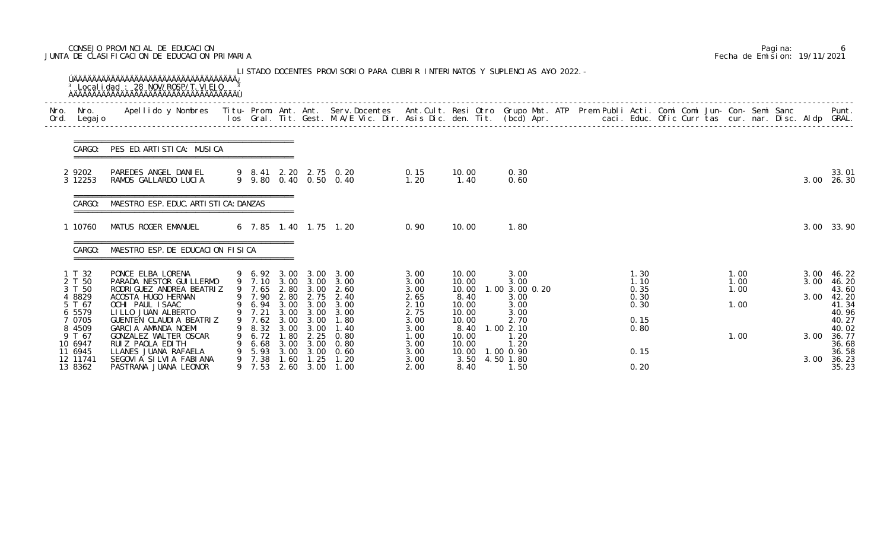# CONSEJO PROVINCIAL DE EDUCACION Pagina: 6 JUNTA DE CLASIFICACION DE EDUCACION PRIMARIA Fecha de Emision: 19/11/2021

|              |                                                                                                          |                                                                                                                                                                                                                                                                  |   |                                                                                                   |                                      |                                                                | LISTADO DOCENTES PROVISORIO PARA CUBRIR INTERINATOS Y SUPLENCIAS A¥O 2022. -                                                   |                                                                                      |                                                                                               |                       |                                                                                |  |                                                              |  |                                      |  |                              |                                                                                                 |
|--------------|----------------------------------------------------------------------------------------------------------|------------------------------------------------------------------------------------------------------------------------------------------------------------------------------------------------------------------------------------------------------------------|---|---------------------------------------------------------------------------------------------------|--------------------------------------|----------------------------------------------------------------|--------------------------------------------------------------------------------------------------------------------------------|--------------------------------------------------------------------------------------|-----------------------------------------------------------------------------------------------|-----------------------|--------------------------------------------------------------------------------|--|--------------------------------------------------------------|--|--------------------------------------|--|------------------------------|-------------------------------------------------------------------------------------------------|
| Nro.<br>Ord. | Nro.<br>Legaj o                                                                                          | Apellido y Nombres Titu- Prom. Ant. Ant. Serv.Docentes Ant.Cult. Resi Otro Grupo Mat. ATP Prem Publi Acti. Comi Comi Jun- Con- Semi Sanc                                                                                                                         |   |                                                                                                   |                                      |                                                                | los Gral. Tit. Gest. M.A/E Vic. Dir. Asis Dic. den. Tit. (bcd) Apr.       caci. Educ. Ofic Curr tas cur. nar. Disc. Aldp GRAL. |                                                                                      |                                                                                               |                       |                                                                                |  |                                                              |  |                                      |  |                              | Punt.                                                                                           |
|              | CARGO:                                                                                                   | PES ED. ARTISTICA: MUSICA                                                                                                                                                                                                                                        |   |                                                                                                   |                                      |                                                                |                                                                                                                                |                                                                                      |                                                                                               |                       |                                                                                |  |                                                              |  |                                      |  |                              |                                                                                                 |
|              | 2 9202<br>3 12253                                                                                        | PAREDES ANGEL DANIEL<br>RAMOS GALLARDO LUCIA                                                                                                                                                                                                                     |   |                                                                                                   |                                      |                                                                | 9 8.41 2.20 2.75 0.20<br>9 9.80 0.40 0.50 0.40                                                                                 | 0.15<br>1.20                                                                         | 10.00<br>1.40                                                                                 |                       | 0.30<br>0.60                                                                   |  |                                                              |  |                                      |  | 3.00                         | 33.01<br>26.30                                                                                  |
|              | CARGO:                                                                                                   | MAESTRO ESP. EDUC. ARTI STI CA: DANZAS                                                                                                                                                                                                                           |   |                                                                                                   |                                      |                                                                |                                                                                                                                |                                                                                      |                                                                                               |                       |                                                                                |  |                                                              |  |                                      |  |                              |                                                                                                 |
|              | 10760                                                                                                    | MATUS ROGER EMANUEL                                                                                                                                                                                                                                              |   |                                                                                                   |                                      |                                                                | 6 7.85 1.40 1.75 1.20                                                                                                          | 0.90                                                                                 | 10.00                                                                                         |                       | 1.80                                                                           |  |                                                              |  |                                      |  | 3.00                         | 33.90                                                                                           |
|              | CARGO:                                                                                                   | MAESTRO ESP. DE EDUCACION FISICA                                                                                                                                                                                                                                 |   |                                                                                                   |                                      |                                                                |                                                                                                                                |                                                                                      |                                                                                               |                       |                                                                                |  |                                                              |  |                                      |  |                              |                                                                                                 |
|              | T 32<br>2 T 50<br>3 T 50<br>4 8829<br>5 T 67<br>6 5579<br>0705<br>8 4509<br>9 T 67<br>10 6947<br>11 6945 | PONCE ELBA LORENA<br>PARADA NESTOR GUI LLERMO<br>RODRI GUEZ ANDREA BEATRIZ<br>ACOSTA HUGO HERNAN<br>OCHI PAUL ISAAC<br>LILLO JUAN ALBERTO<br>GUENTEN CLAUDIA BEATRIZ<br>GARCIA AMANDA NOEMI<br>GONZALEZ WALTER OSCAR<br>RUIZ PAOLA EDITH<br>LLANES JUANA RAFAELA |   | 9 7.65 2.80 3.00<br>9 7.90<br>9 6.94 3.00 3.00<br>9 7.21<br>7. 62<br>8.32<br>6.72<br>6.68<br>5.93 | 3.00<br>3.00<br>1.80<br>3.00<br>3.00 | 2.80 2.75<br>3.00 3.00<br>3.00<br>3.00<br>2.25<br>3.00<br>3.00 | 9 6.92 3.00 3.00 3.00<br>9 7.10 3.00 3.00 3.00<br>2.60<br>2.40<br>3.00<br>3.00<br>1.80<br>1.40<br>0.80<br>0.80<br>0.60         | 3.00<br>3.00<br>3.00<br>2.65<br>2.10<br>2.75<br>3.00<br>3.00<br>1.00<br>3.00<br>3.00 | 10.00<br>10.00<br>10.00<br>8.40<br>10.00<br>10.00<br>10.00<br>8.40<br>10.00<br>10.00<br>10.00 | 1.002.10<br>1.00 0.90 | 3.00<br>3.00<br>1.00 3.00 0.20<br>3.00<br>3.00<br>3.00<br>2.70<br>1.20<br>1.20 |  | 1.30<br>1.10<br>0.35<br>0.30<br>0.30<br>0.15<br>0.80<br>0.15 |  | 1.00<br>1.00<br>1.00<br>1.00<br>1.00 |  | 3.00<br>3.00<br>3.00<br>3.00 | 46.22<br>46.20<br>43.60<br>42.20<br>41.34<br>40.96<br>40.27<br>40.02<br>36.77<br>36.68<br>36.58 |
|              | 12 11741<br>13 8362                                                                                      | SEGOVIA SILVIA FABIANA<br>PASTRANA JUANA LEONOR                                                                                                                                                                                                                  | 9 | 7.38<br>9 7.53                                                                                    | 1.60<br>2.60                         | 1.25<br>3.00                                                   | 1.20<br>1.00                                                                                                                   | 3.00<br>2.00                                                                         | 3.50<br>8.40                                                                                  | 4.50 1.80             | 1.50                                                                           |  | 0.20                                                         |  |                                      |  | 3.00                         | 36.23<br>35.23                                                                                  |

|  | Pagi na: |                              |
|--|----------|------------------------------|
|  |          | Fecha de Emision: 19/11/2021 |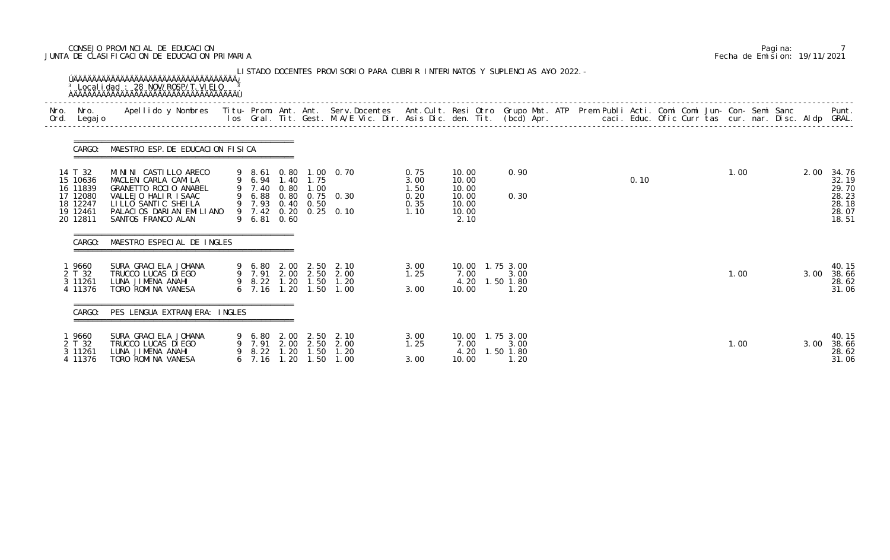# CONSEJO PROVINCIAL DE EDUCACION Pagina: 7 JUNTA DE CLASIFICACION DE EDUCACION PRIMARIA Fecha de Emision: 19/11/2021

| Nro.<br>Ord. | Nro.<br>Legaj o                                                                 | Apellido y Nombres - Titu- Prom. Ant. Ant. Serv.Docentes - Ant.Cult. Resi Otro Grupo Mat. ATP Prem Publi Acti. Comi Comi Jun- Con- Semi Sanc - - - Punt.<br>Ios Gral. Tit. Gest. M.A/E Vic. Dir. Asis Dic. den. Tit. (bcd) Apr. - |                              |                      |                                              |                                                                         |                                              |                                                            |                           |  |      |  |      |  |      | Punt.                                                       |
|--------------|---------------------------------------------------------------------------------|-----------------------------------------------------------------------------------------------------------------------------------------------------------------------------------------------------------------------------------|------------------------------|----------------------|----------------------------------------------|-------------------------------------------------------------------------|----------------------------------------------|------------------------------------------------------------|---------------------------|--|------|--|------|--|------|-------------------------------------------------------------|
|              | CARGO:                                                                          | MAESTRO ESP. DE EDUCACION FISICA                                                                                                                                                                                                  |                              |                      |                                              |                                                                         |                                              |                                                            |                           |  |      |  |      |  |      |                                                             |
|              | 14 T 32<br>15 10636<br>16 11839<br>17 12080<br>18 12247<br>19 12461<br>20 12811 | MININI CASTILLO ARECO<br>MACLEN CARLA CAMILA<br>GRANETTO ROCIO ANABEL<br>VALLEJO HALIR ISAAC<br>LILLO SANTIC SHEILA<br>PALACIOS DARIAN EMILIANO<br>SANTOS FRANCO ALAN                                                             | 9 7.40<br>9 6.81 0.60        | 0.80                 | 9 6.94 1.40 1.75<br>1.00<br>9 7.93 0.40 0.50 | 9 8.61 0.80 1.00 0.70<br>9 6.88 0.80 0.75 0.30<br>9 7.42 0.20 0.25 0.10 | 0.75<br>3.00<br>1.50<br>0.20<br>0.35<br>1.10 | 10.00<br>10.00<br>10.00<br>10.00<br>10.00<br>10.00<br>2.10 | 0.90<br>0.30              |  | 0.10 |  | 1.00 |  | 2.00 | 34.76<br>32.19<br>29.70<br>28.23<br>28.18<br>28.07<br>18.51 |
|              | CARGO:                                                                          | ====================================<br>MAESTRO ESPECIAL DE INGLES                                                                                                                                                                |                              |                      |                                              |                                                                         |                                              |                                                            |                           |  |      |  |      |  |      |                                                             |
|              | l 9660<br>2 T 32<br>3 11261<br>4 11376                                          | SURA GRACI ELA JOHANA<br>TRUCCO LUCAS DI EGO<br>LUNA JIMENA ANAHI<br>TORO ROMINA VANESA                                                                                                                                           | 9 8.22 1.20<br>$6$ 7.16 1.20 |                      | 9 6.80 2.00 2.50<br>1.50<br>1.50             | 2.10<br>9 7.91 2.00 2.50 2.00<br>1.20<br>1.00                           | 3.00<br>1.25<br>3.00                         | 10.00  1.75  3.00<br>7.00<br>4.20<br>10.00                 | 3.00<br>1.50 1.80<br>1.20 |  |      |  | 1.00 |  | 3.00 | 40.15<br>38.66<br>28.62<br>31.06                            |
|              | CARGO:                                                                          | PES LENGUA EXTRANJERA: INGLES                                                                                                                                                                                                     |                              |                      |                                              |                                                                         |                                              |                                                            |                           |  |      |  |      |  |      |                                                             |
|              | 9660<br>2 T 32<br>3 11261<br>4 11376                                            | SURA GRACI ELA JOHANA<br>TRUCCO LUCAS DI EGO<br>LUNA JIMENA ANAHI<br>TORO ROMINA VANESA                                                                                                                                           | 7.91<br>8.22<br>6, 7.16      | 2.00<br>1.20<br>1.20 | 9 6.80 2.00 2.50<br>2.50<br>. 50<br>1.50     | 2.10<br>2.00<br>1.20<br>1.00                                            | 3.00<br>1.25<br>3.00                         | 10.00  1.75  3.00<br>7.00<br>4.20<br>10.00                 | 3.00<br>1.50 1.80<br>1.20 |  |      |  | 1.00 |  | 3.00 | 40.15<br>38.66<br>28.62<br>31.06                            |

|  | Pagi na: |                              |
|--|----------|------------------------------|
|  |          | Fecha de Emision: 19/11/2021 |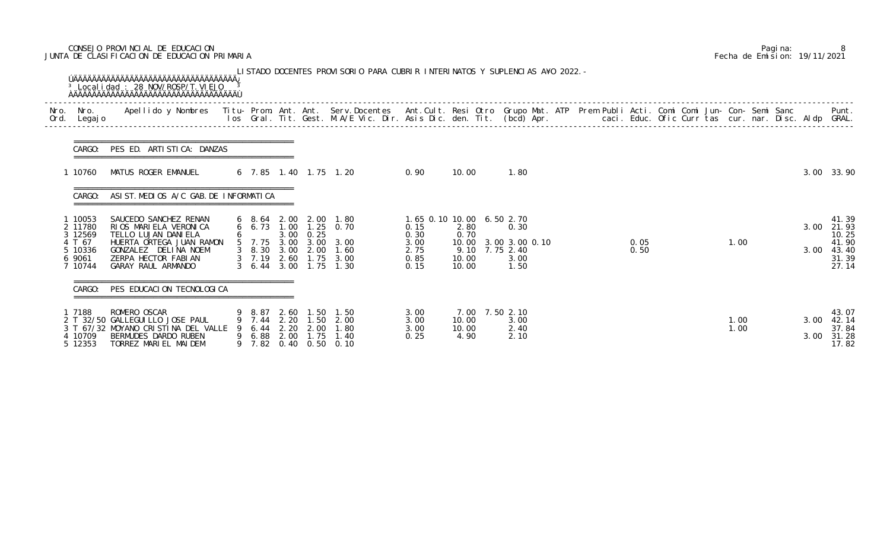# CONSEJO PROVINCIAL DE EDUCACION Pagina: 8 JUNTA DE CLASIFICACION DE EDUCACION PRIMARIA Fecha de Emision: 19/11/2021

| Nro.<br>Ord. | Nro.<br>Legaj o                        | Apellido y Nombres - Titu- Prom. Ant. Ant. Serv.Docentes - Ant.Cult. Resi Otro Grupo Mat. ATP Prem Publi Acti. Comi Comi Jun- Con- Semi Sanc - - Punt.<br>Ios Gral. Tit. Gest. M.A/E Vic. Dir. Asis Dic. den. Tit. (bcd) Apr. - - |   |                                                                                                                          |              |                                   |                                                |                                 |                                 |                                             |  |              |  |              |              |                                           |
|--------------|----------------------------------------|-----------------------------------------------------------------------------------------------------------------------------------------------------------------------------------------------------------------------------------|---|--------------------------------------------------------------------------------------------------------------------------|--------------|-----------------------------------|------------------------------------------------|---------------------------------|---------------------------------|---------------------------------------------|--|--------------|--|--------------|--------------|-------------------------------------------|
|              | CARGO:                                 | PES ED. ARTISTICA: DANZAS                                                                                                                                                                                                         |   |                                                                                                                          |              |                                   |                                                |                                 |                                 |                                             |  |              |  |              |              |                                           |
|              | 1 10760                                | MATUS ROGER EMANUEL                                                                                                                                                                                                               |   |                                                                                                                          |              |                                   | 6 7.85 1.40 1.75 1.20                          | 0.90                            | 10.00                           | 1.80                                        |  |              |  |              |              | 3.00 33.90                                |
|              | CARGO:                                 | ASIST. MEDIOS A/C GAB. DE INFORMATICA                                                                                                                                                                                             |   |                                                                                                                          |              |                                   |                                                |                                 |                                 |                                             |  |              |  |              |              |                                           |
|              | 10053<br>2 11780<br>3 12569            | SAUCEDO SANCHEZ RENAN<br>RIOS MARIELA VERONICA<br>TELLO LUJAN DANI ELA                                                                                                                                                            | 6 | $6\quad 8.64$                                                                                                            |              | 3.00 0.25                         | 2.00 2.00 1.80<br>6 6.73 1.00 1.25 0.70        | 1.65 0.10 10.00<br>0.15<br>0.30 | 2.80<br>0.70                    | 6.50 2.70<br>0.30                           |  |              |  |              | 3.00         | 41.39<br>21.93<br>10.25                   |
|              | 4 T 67<br>5 10336<br>6 9061<br>7 10744 | HUERTA ORTEGA JUAN RAMON<br>GONZALEZ DELINA NOEM<br>ZERPA HECTOR FABIAN<br>GARAY RAUL ARMANDO                                                                                                                                     |   | 5 7.75 3.00<br>$\begin{array}{@{}c@{\hspace{1em}}c@{\hspace{1em}}}\n 3 & 8 & 30 \\ 3 & 7 & 19\n \end{array}$<br>3, 6, 44 | 2.60<br>3.00 | 3.00<br>3.00 2.00<br>1.75<br>1.75 | 3.00<br>1.60<br>3.00<br>1.30                   | 3.00<br>2.75<br>0.85<br>0.15    | 10.00<br>9.10<br>10.00<br>10.00 | 3.00 3.00 0.10<br>7.75 2.40<br>3.00<br>1.50 |  | 0.05<br>0.50 |  | 1.00         | 3.00         | 41.90<br>43.40<br>31.39<br>27.14          |
|              | CARGO:                                 | PES EDUCACION TECNOLOGICA                                                                                                                                                                                                         |   |                                                                                                                          |              |                                   |                                                |                                 |                                 |                                             |  |              |  |              |              |                                           |
|              | 7188<br>4 10709<br>5 12353             | ROMERO OSCAR<br>2 T 32/50 GALLEGUI LLO JOSE PAUL<br>3 T 67/32 MOYANO CRISTINA DEL VALLE<br>BERMUDES DARDO RUBEN<br>TORREZ MARIEL MAIDEM                                                                                           |   | 9 8.87<br>9 7.44<br>9 6.44<br>9 6.88<br>9 7.82 0.40 0.50                                                                 | 2.20         | 2.20 1.50<br>2.00<br>2.00 1.75    | 2.60 1.50 1.50<br>2.00<br>1.80<br>1.40<br>0.10 | 3.00<br>3.00<br>3.00<br>0.25    | 10.00<br>10.00<br>4.90          | 7.00 7.50 2.10<br>3.00<br>2.40<br>2.10      |  |              |  | 1.00<br>1.00 | 3.00<br>3.00 | 43.07<br>42.14<br>37.84<br>31.28<br>17.82 |

|  | Pagi na: |                              |
|--|----------|------------------------------|
|  |          | Fecha de Emision: 19/11/2021 |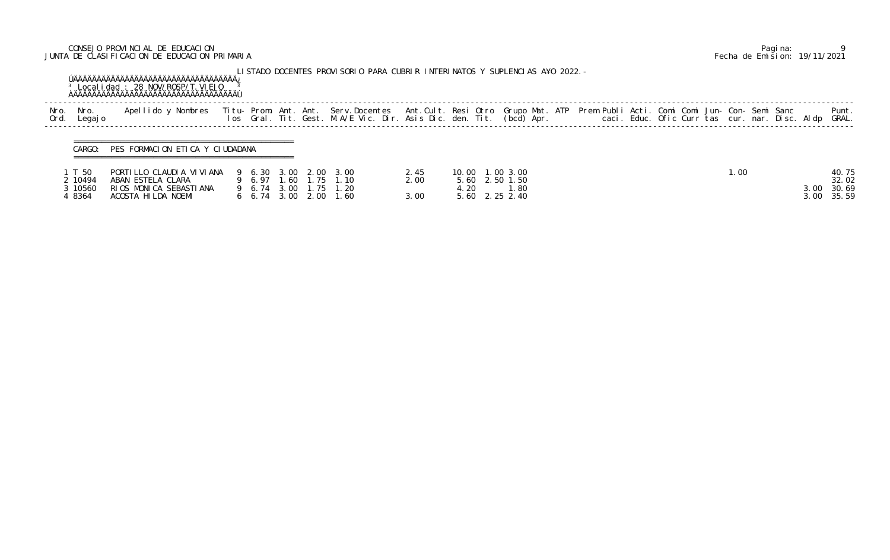# CONSEJO PROVINCIAL DE EDUCACION Pagina: 9 JUNTA DE CLASIFICACION DE EDUCACION PRIMARIA Fecha de Emision: 19/11/2021

|             |                                      | <sup>3</sup> Local i dad: 28 NOV/ROSP/T. VI EJO                                               |                                                       |                          | LISTADO DOCENTES PROVISORIO PARA CUBRIR INTERINATOS Y SUPLENCIAS A¥O 2022. -                                                                                                                                                      |                      |      |                                                             |  |  |  |      |  |      |                                  |
|-------------|--------------------------------------|-----------------------------------------------------------------------------------------------|-------------------------------------------------------|--------------------------|-----------------------------------------------------------------------------------------------------------------------------------------------------------------------------------------------------------------------------------|----------------------|------|-------------------------------------------------------------|--|--|--|------|--|------|----------------------------------|
| Nro.<br>Ord | Nro.<br>Legaj o                      | Apellido y Nombres                                                                            |                                                       |                          | Titu- Prom. Ant. Ant. Serv.Docentes  Ant.Cult. Resi Otro Grupo Mat. ATP Prem Publi Acti. Comi Comi Jun- Con- Semi Sanc<br>Ios  Gral. Tit. Gest. M.A/E Vic. Dir. Asis Dic. den. Tit. (bcd) Apr.                caci. Educ. Ofic Cu |                      |      |                                                             |  |  |  |      |  |      | Punt.<br>GRAL.                   |
|             | CARGO:                               | PES FORMACION ETICA Y CIUDADANA                                                               |                                                       |                          |                                                                                                                                                                                                                                   |                      |      |                                                             |  |  |  |      |  |      |                                  |
|             | IT 50<br>2 10494<br>3 10560<br>48364 | PORTILLO CLAUDIA VIVIANA<br>ABAN ESTELA CLARA<br>RIOS MONICA SEBASTIANA<br>ACOSTA HILDA NOEMI | 9 6.97 1.60<br>9 6.74 3.00<br>$6\quad 6.74\quad 3.00$ | 9 6.30 3.00 2.00<br>2.00 | 3.00<br>1.75 1.10<br>1.75 1.20<br>1.60                                                                                                                                                                                            | 2.45<br>2.00<br>3.00 | 4.20 | 10.00 1.00 3.00<br>5.60 2.50 1.50<br>1.80<br>5.60 2.25 2.40 |  |  |  | 1.00 |  | 3.00 | 40.75<br>32.02<br>30.69<br>35.59 |

| p. Nro.<br>d. Legajo                   | Apellido y Nombres                                                                            |                                                                           |  | Titu- Prom. Ant. Ant. Serv.Docentes  Ant.Cult. Resi Otro Grupo Mat. ATP  Prem Publi Acti. Comi Comi Jun- Con- Semi Sanc<br>Ios  Gral. Tit. Gest. M.A/E Vic. Dir. Asis Dic. den. Tit. (bcd) Apr.                caci. Educ. Ofic C |                      |      |                                                              |  |  |  |      |  |      | Punt.<br>GRAL.                        |
|----------------------------------------|-----------------------------------------------------------------------------------------------|---------------------------------------------------------------------------|--|-----------------------------------------------------------------------------------------------------------------------------------------------------------------------------------------------------------------------------------|----------------------|------|--------------------------------------------------------------|--|--|--|------|--|------|---------------------------------------|
| CARGO:                                 | PES FORMACION ETICA Y CIUDADANA                                                               |                                                                           |  |                                                                                                                                                                                                                                   |                      |      |                                                              |  |  |  |      |  |      |                                       |
| 1 T 50<br>2 10494<br>3 10560<br>4 8364 | PORTILLO CLAUDIA VIVIANA<br>ABAN ESTELA CLARA<br>RIOS MONICA SEBASTIANA<br>ACOSTA HILDA NOEMI | 9 6.97 1.60 1.75<br>9 6.74 3.00 1.75<br>$6\quad 6.74\quad 3.00\quad 2.00$ |  | 9 6.30 3.00 2.00 3.00<br>1.10<br>1.20<br>1.60                                                                                                                                                                                     | 2.45<br>2.00<br>3.00 | 4.20 | 10.00 1.00 3.00<br>5.60 2.50 1.50<br>l. 80<br>5.60 2.25 2.40 |  |  |  | 1.00 |  | 3.00 | 40.75<br>32.02<br>30.69<br>3.00 35.59 |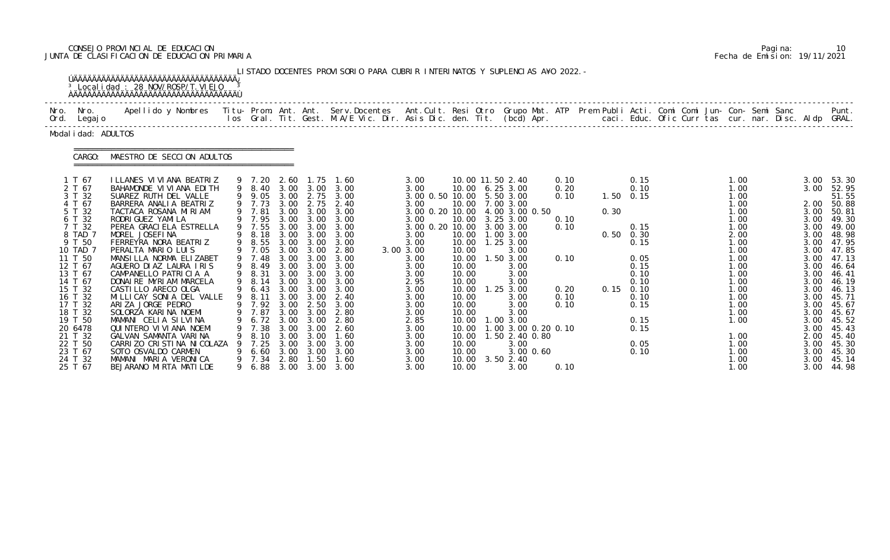# CONSEJO PROVINCIAL DE EDUCACION Pagina: 10 JUNTA DE CLASIFICACION DE EDUCACION PRIMARIA Fecha de Emision: 19/11/2021

|                                                                                                                                                                                                                                                                          | <sup>3</sup> Local i dad: 28 NOV/ROSP/T. VI EJO                                                                                                                                                                                                                                                                                                                                                                                                                                                                                                                                                                                                     |             |                                                                                                                                                                                                                      |                                                                                                                                                                   |                                                                                                                                                                                             | LISTADO DOCENTES PROVISORIO PARA CUBRIR INTERINATOS Y SUPLENCIAS A¥O 2022. -                                                                                                                                                              |                                                                                                                                                                                                                                                                |                                                                                                                                                       |                                                                                                                                                                                                                                                                                                                             |                                                                              |                                                 |                                                                                                                      |  |                                                                                                                                                                                              |  |                                                                                                                                                                                      |                                                                                                                                                                                                                                    |
|--------------------------------------------------------------------------------------------------------------------------------------------------------------------------------------------------------------------------------------------------------------------------|-----------------------------------------------------------------------------------------------------------------------------------------------------------------------------------------------------------------------------------------------------------------------------------------------------------------------------------------------------------------------------------------------------------------------------------------------------------------------------------------------------------------------------------------------------------------------------------------------------------------------------------------------------|-------------|----------------------------------------------------------------------------------------------------------------------------------------------------------------------------------------------------------------------|-------------------------------------------------------------------------------------------------------------------------------------------------------------------|---------------------------------------------------------------------------------------------------------------------------------------------------------------------------------------------|-------------------------------------------------------------------------------------------------------------------------------------------------------------------------------------------------------------------------------------------|----------------------------------------------------------------------------------------------------------------------------------------------------------------------------------------------------------------------------------------------------------------|-------------------------------------------------------------------------------------------------------------------------------------------------------|-----------------------------------------------------------------------------------------------------------------------------------------------------------------------------------------------------------------------------------------------------------------------------------------------------------------------------|------------------------------------------------------------------------------|-------------------------------------------------|----------------------------------------------------------------------------------------------------------------------|--|----------------------------------------------------------------------------------------------------------------------------------------------------------------------------------------------|--|--------------------------------------------------------------------------------------------------------------------------------------------------------------------------------------|------------------------------------------------------------------------------------------------------------------------------------------------------------------------------------------------------------------------------------|
| Nro. Nro.<br>Ord. Legajo                                                                                                                                                                                                                                                 | Apellido y Nombres - Titu- Prom. Ant. Ant. Serv.Docentes - Ant.Cult. Resi Otro Grupo Mat. ATP Prem Publi Acti. Comi Comi Jun- Con- Semi Sanc - - - Punt.<br>Ios Gral. Tit. Gest. M.A/E Vic. Dir. Asis Dic. den. Tit. (bcd) Apr. -                                                                                                                                                                                                                                                                                                                                                                                                                   |             |                                                                                                                                                                                                                      |                                                                                                                                                                   |                                                                                                                                                                                             |                                                                                                                                                                                                                                           |                                                                                                                                                                                                                                                                |                                                                                                                                                       |                                                                                                                                                                                                                                                                                                                             |                                                                              |                                                 |                                                                                                                      |  |                                                                                                                                                                                              |  |                                                                                                                                                                                      |                                                                                                                                                                                                                                    |
| Modal i dad: ADULTOS                                                                                                                                                                                                                                                     |                                                                                                                                                                                                                                                                                                                                                                                                                                                                                                                                                                                                                                                     |             |                                                                                                                                                                                                                      |                                                                                                                                                                   |                                                                                                                                                                                             |                                                                                                                                                                                                                                           |                                                                                                                                                                                                                                                                |                                                                                                                                                       |                                                                                                                                                                                                                                                                                                                             |                                                                              |                                                 |                                                                                                                      |  |                                                                                                                                                                                              |  |                                                                                                                                                                                      |                                                                                                                                                                                                                                    |
| CARGO:                                                                                                                                                                                                                                                                   | MAESTRO DE SECCION ADULTOS                                                                                                                                                                                                                                                                                                                                                                                                                                                                                                                                                                                                                          |             |                                                                                                                                                                                                                      |                                                                                                                                                                   |                                                                                                                                                                                             |                                                                                                                                                                                                                                           |                                                                                                                                                                                                                                                                |                                                                                                                                                       |                                                                                                                                                                                                                                                                                                                             |                                                                              |                                                 |                                                                                                                      |  |                                                                                                                                                                                              |  |                                                                                                                                                                                      |                                                                                                                                                                                                                                    |
| 1 T 67<br>2 T 67<br>3 T 32<br>4 T 67<br>5 T 32<br>6 T 32<br>7 T 32<br>8 TAD 7<br>9 T 50<br>10 TAD 7<br>11 T 50<br>12 T 67<br>13 T 67<br>14 T 67<br>15 T 32<br>16 T 32<br>17 T 32<br>18 T 32<br>19 T 50<br>20 6478<br>21 T 32<br>22 T 50<br>23 T 67<br>24 T 32<br>25 T 67 | I LLANES VI VI ANA BEATRIZ<br>BAHAMONDE VI VI ANA EDI TH<br>SUAREZ RUTH DEL VALLE<br>BARRERA ANALIA BEATRIZ<br>TACTACA ROSANA MIRIAM<br>RODRI GUEZ YAMI LA<br>PEREA GRACI ELA ESTRELLA<br>MOREL JOSEFINA<br>FERREYRA NORA BEATRIZ<br>PERALTA MARIO LUIS<br>MANSILLA NORMA ELIZABET<br>AGUERO DIAZ LAURA IRIS<br>CAMPANELLO PATRICIA A<br>DONAIRE MYRIAM MARCELA<br>CASTILLO ARECO OLGA<br>MILLICAY SONIA DEL VALLE<br>ARIZA JORGE PEDRO<br>SOLORZA KARINA NOEMI<br>MAMANI CELIA SILVINA<br>QUINTERO VI VI ANA NOEMI<br>GALVAN SAMANTA VARINA<br>CARRIZO CRISTINA NICOLAZA<br>SOTO OSVALDO CARMEN<br>MAMANI MARIA VERONICA<br>BEJARANO MIRTA MATILDE | 9<br>9<br>9 | 9 7.20<br>9 8.40<br>9 9.05<br>9 7.73<br>9 7.81<br>9 7.95<br>9 7.55<br>8.18<br>9 8.55<br>9 7.05<br>9 7.48<br>9 8.49<br>9 8.31<br>8.14<br>9 6.43<br>9 8.11<br>9 7.92<br>7.38<br>8.10<br>7.25<br>6.60<br>9 7.34<br>6.88 | 2.60<br>3.00<br>3.00<br>3.00<br>3.00<br>3.00<br>3.00<br>3.00<br>3.00<br>3.00<br>3.00<br>3.00<br>3.00<br>$6.72 \quad 3.00$<br>3.00<br>3.00<br>3.00<br>3.00<br>2.80 | 1.75<br>3.00<br>2.75<br>3.00<br>3.00<br>3.00<br>3.00<br>3.00<br>3.00 3.00<br>3.00<br>3.00<br>3.00<br>3.00<br>3.00 3.00<br>3.00 3.00<br>2.50<br>3.00<br>3.00<br>3.00<br>3.00<br>3.00<br>1.50 | 1.60<br>3.00<br>3.00 2.75 3.00<br>2.40<br>3.00<br>3.00<br>3.00<br>3.00<br>3.00<br>2.80<br>3.00<br>3.00<br>3.00<br>3.00<br>3.00<br>2.40<br>3.00<br>9 7.87 3.00 3.00 2.80<br>2.80<br>2.60<br>1.60<br>3.00<br>3.00<br>1.60<br>3.00 3.00 3.00 | 3.00<br>3.00<br>3.00 0.50 10.00 5.50 3.00<br>3.00<br>3.00 0.20 10.00<br>3.00<br>3.00 0.20 10.00 3.00 3.00<br>3.00<br>3.00<br>3.00 3.00<br>3.00<br>3.00<br>3.00<br>2.95<br>3.00<br>3.00<br>3.00<br>3.00<br>2.85<br>3.00<br>3.00<br>3.00<br>3.00<br>3.00<br>3.00 | 10.00<br>10.00<br>10.00<br>10.00<br>10.00<br>10.00<br>10.00<br>10.00<br>10.00<br>10.00<br>10.00<br>10.00<br>10.00<br>10.00<br>10.00<br>10.00<br>10.00 | 10.00 11.50 2.40<br>10.00 6.25 3.00<br>10.00 7.00 3.00<br>4.00 3.00 0.50<br>10.00 3.25 3.00<br>1.00 3.00<br>1.25 3.00<br>3.00<br>1.50 3.00<br>3.00<br>3.00<br>3.00<br>$1.25$ $3.00$<br>3.00<br>3.00<br>3.00<br>1.00 3.00<br>10.00  1.00  3.00  0.20  0.10<br>$.50$ 2.40 0.80<br>3.00<br>$3.00 \, 0.60$<br>3.50 2.40<br>3.00 | 0.10<br>0.20<br>0.10<br>0.10<br>0.10<br>0.10<br>0.20<br>0.10<br>0.10<br>0.10 | $1.50 \t 0.15$<br>0.30<br>$0.50$ $0.30$<br>0.15 | 0.15<br>0.10<br>0.15<br>0.15<br>0.05<br>0.15<br>0.10<br>0.10<br>0.10<br>0.10<br>0.15<br>0.15<br>0.15<br>0.05<br>0.10 |  | 1.00<br>1.00<br>1.00<br>1.00<br>1.00<br>1.00<br>1.00<br>2.00<br>1.00<br>1.00<br>1.00<br>1.00<br>1.00<br>1.00<br>1.00<br>1.00<br>1.00<br>1.00<br>1.00<br>1.00<br>1.00<br>1.00<br>1.00<br>1.00 |  | 3.00<br>3.00<br>2.00<br>3.00<br>3.00<br>3.00<br>3.00<br>3.00<br>3.00<br>3.00<br>3.00<br>3.00<br>3.00<br>3.00<br>3.00<br>3.00<br>3.00<br>3.00<br>3.00<br>3.00<br>3.00<br>3.00<br>3.00 | 53.30<br>52.95<br>51.55<br>50.88<br>50.81<br>49.30<br>49.00<br>48.98<br>47.95<br>47.85<br>47.13<br>46.64<br>46.41<br>46.19<br>46.13<br>45.71<br>45.67<br>45.67<br>45.52<br>45.43<br>2.00 45.40<br>45.30<br>45.30<br>45.14<br>44.98 |

|  | Pagi na: | 10                           |
|--|----------|------------------------------|
|  |          | Fecha de Emision: 19/11/2021 |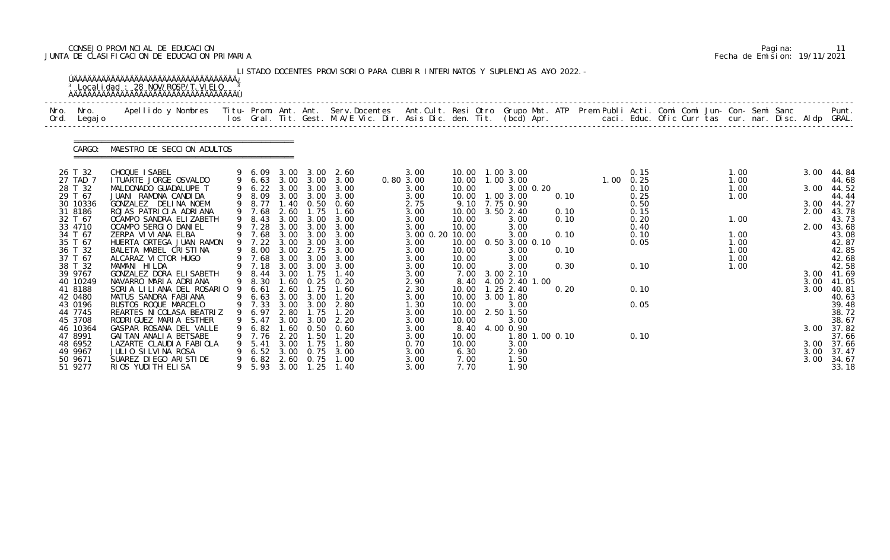# CONSEJO PROVINCIAL DE EDUCACION Pagina: 11 JUNTA DE CLASIFICACION DE EDUCACION PRIMARIA Fecha de Emision: 19/11/2021

| Nro. | Nro.<br>Ord. Legajo | Apellido y Nombres - Titu- Prom. Ant. Ant. Serv.Docentes - Ant.Cult. Resi Otro Grupo Mat. ATP Prem Publi Acti. Comi Comi Jun- Con- Semi Sanc - - - Punt.<br>Ios Gral. Tit. Gest. M.A/E Vic. Dir. Asis Dic. den. Tit. (bcd) Apr. - |   |                  |              |                               |                               |                   |                |                                        |                |              |                        |              |  |      |                     |
|------|---------------------|-----------------------------------------------------------------------------------------------------------------------------------------------------------------------------------------------------------------------------------|---|------------------|--------------|-------------------------------|-------------------------------|-------------------|----------------|----------------------------------------|----------------|--------------|------------------------|--------------|--|------|---------------------|
|      | CARGO:              | MAESTRO DE SECCION ADULTOS                                                                                                                                                                                                        |   |                  |              |                               |                               |                   |                |                                        |                |              |                        |              |  |      |                     |
|      | 26 T 32<br>27 TAD 7 | CHOQUE ISABEL<br>I TUARTE JORGE OSVALDO                                                                                                                                                                                           |   |                  |              | 9 6.63 3.00 3.00              | 9 6.09 3.00 3.00 2.60<br>3.00 | 3.00<br>0.80 3.00 |                | 10.00  1.00  3.00<br>10.00  1.00  3.00 |                |              | 0.15<br>$1.00 \t 0.25$ | 1.00<br>1.00 |  |      | 3.00 44.84<br>44.68 |
|      | 28 T 32             | MALDONADO GUADALUPE T                                                                                                                                                                                                             | 9 | 6.22             | 3.00         | 3.00                          | 3.00                          | 3.00              | 10.00          | 3.00 0.20                              |                |              | 0.10                   | 1.00         |  | 3.00 | 44.52               |
|      | 29 T 67             | JUANI RAMONA CANDIDA                                                                                                                                                                                                              |   | 8.09             |              |                               | 3.00 3.00 3.00                | 3.00              | 10.00          | $1.00$ $3.00$                          |                | 0.10         | 0.25                   | 1.00         |  |      | 44.44               |
|      | 30 10336            | GONZALEZ DELINA NOEM                                                                                                                                                                                                              |   | 9 8.77           |              | 1.40 0.50                     | 0.60                          | 2.75              |                | 9.10 7.75 0.90                         |                |              | 0.50                   |              |  | 3.00 | 44.27               |
|      | 31 8186<br>32 T 67  | ROJAS PATRICIA ADRIANA<br>OCAMPO SANDRA ELIZABETH                                                                                                                                                                                 |   | 9 7.68<br>9 8.43 | 2.60<br>3.00 | 1.75<br>3.00                  | 1.60<br>3.00                  | 3.00<br>3.00      | 10.00<br>10.00 | $3.50$ $2.40$<br>3.00                  |                | 0.10<br>0.10 | 0.15<br>0.20           | 1.00         |  | 2.00 | 43.78<br>43.73      |
|      | 33 4710             | OCAMPO SERGIO DANIEL                                                                                                                                                                                                              |   | 9 7.28           | 3.00         | 3.00                          | 3.00                          | 3.00              | 10.00          | 3.00                                   |                |              | 0.40                   |              |  | 2.00 | 43.68               |
|      | 34 T 67             | ZERPA VI VI ANA ELBA                                                                                                                                                                                                              |   | 7.68             | 3.00         | 3.00                          | 3.00                          | 3.00 0.20 10.00   |                | 3.00                                   |                | 0.10         | 0.10                   | 1.00         |  |      | 43.08               |
|      | 35 T 67             | HUERTA ORTEGA JUAN RAMON                                                                                                                                                                                                          |   | 9 7.22           | 3.00         | 3.00                          | 3.00                          | 3.00              | 10.00          | 0.50 3.00 0.10                         |                |              | 0.05                   | 1.00         |  |      | 42.87               |
|      | 36 T 32<br>37 T 67  | BALETA MABEL CRISTINA<br>ALCARAZ VI CTOR HUGO                                                                                                                                                                                     |   | 9 8.00<br>9 7.68 | 3.00<br>3.00 | 2.75<br>3.00                  | 3.00<br>3.00                  | 3.00<br>3.00      | 10.00<br>10.00 | 3.00<br>3.00                           |                | 0.10         |                        | 1.00<br>1.00 |  |      | 42.85<br>42.68      |
|      | 38 T 32             | MAMANI HILDA                                                                                                                                                                                                                      |   | 9 7.18           | 3.00         | 3.00                          | 3.00                          | 3.00              | 10.00          | 3.00                                   |                | 0.30         | 0.10                   | 1.00         |  |      | 42.58               |
|      | 39 9767             | GONZALEZ DORA ELISABETH                                                                                                                                                                                                           |   | 9 8.44           | 3.00         | 1.75                          | 1.40                          | 3.00              | 7.00           | 3.00 2.10                              |                |              |                        |              |  |      | $3.00$ 41.69        |
|      | 40 10249            | NAVARRO MARIA ADRIANA                                                                                                                                                                                                             |   | 8.30             | 1.60         | 0.25                          | 0.20                          | 2.90              | 8.40           | 4.00 2.40 1.00                         |                |              |                        |              |  | 3.00 | 41. 05              |
|      | 41 8188             | SORIA LILIANA DEL ROSARIO                                                                                                                                                                                                         |   | 6.61             | 2.60         | 1.75                          | 1.60                          | 2.30              | 10.00          | $1.25$ 2.40                            |                | 0.20         | 0.10                   |              |  | 3.00 | 40.81               |
|      | 42 0480<br>43 0196  | MATUS SANDRA FABIANA<br>BUSTOS ROQUE MARCELO                                                                                                                                                                                      |   | 9 6.63<br>9 7.33 | 3.00         | 3.00 3.00<br>3.00             | 1.20<br>2.80                  | 3.00<br>1.30      | 10.00          | 10.00 3.00 1.80<br>3.00                |                |              | 0.05                   |              |  |      | 40.63<br>39.48      |
|      | 44 7745             | REARTES NI COLASA BEATRIZ                                                                                                                                                                                                         |   | 9 6.97 2.80      |              | 1.75                          | 1.20                          | 3.00              |                | 10.00 2.50 1.50                        |                |              |                        |              |  |      | 38.72               |
|      | 45 3708             | RODRI GUEZ MARI A ESTHER                                                                                                                                                                                                          | 9 | 5.47             | 3.00         | 3.00                          | 2.20                          | 3.00              | 10.00          | 3.00                                   |                |              |                        |              |  |      | 38.67               |
|      | 46 10364            | GASPAR ROSANA DEL VALLE                                                                                                                                                                                                           |   | 6.82             | 1.60         | 0. 50                         | 0.60                          | 3.00              | 8.40           | 4.00 0.90                              |                |              |                        |              |  |      | 3.00 37.82          |
|      | 47 8991             | GAI TAN ANALI A BETSABE                                                                                                                                                                                                           |   | 9 7.76           | 2.20         | $\overline{\phantom{0}}$ . 50 | 1.20                          | 3.00              | 10.00          |                                        | 1.80 1.00 0.10 |              | 0.10                   |              |  |      | 37.66               |
|      | 48 6952<br>49 9967  | LAZARTE CLAUDIA FABIOLA<br>JULIO SILVINA ROSA                                                                                                                                                                                     |   | 5.41<br>6.52     | 3.00<br>3.00 | 1.75<br>0.75                  | 1.80<br>3.00                  | 0.70<br>3.00      | 10.00<br>6.30  | 3.00<br>2.90                           |                |              |                        |              |  | 3.00 | 3.00 37.66<br>37.47 |
|      | 50 9671             | SUAREZ DI EGO ARI STI DE                                                                                                                                                                                                          |   | 6.82             | 2.60         | 0.75                          | 1.00                          | 3.00              | 7.00           | 1.50                                   |                |              |                        |              |  | 3.00 | 34.67               |
|      | 51 9277             | RIOS YUDITH ELISA                                                                                                                                                                                                                 |   | 5.93 3.00        |              |                               | $1.25$ $1.40$                 | 3.00              | 7.70           | 1.90                                   |                |              |                        |              |  |      | 33.18               |

|  | Pagi na: |                              |
|--|----------|------------------------------|
|  |          | Fecha de Emision: 19/11/2021 |